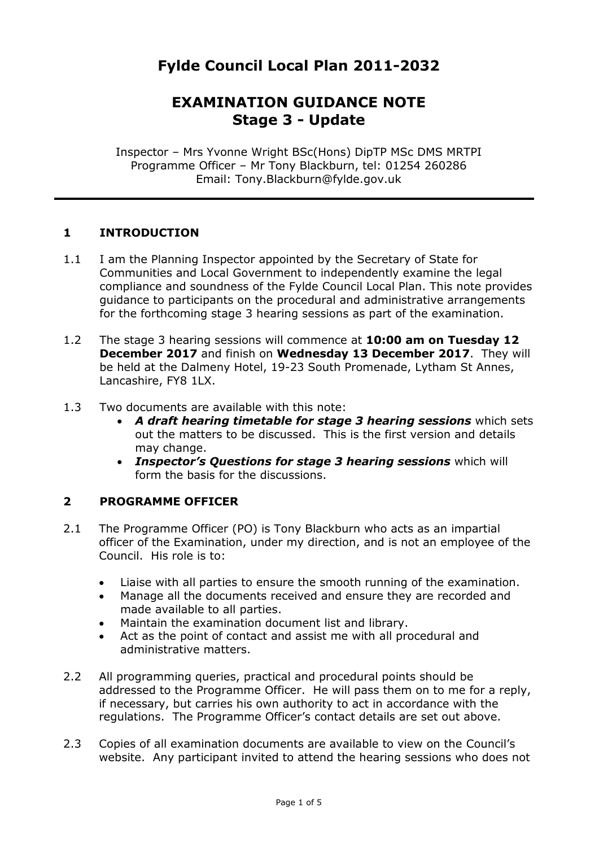# **Fylde Council Local Plan 2011-2032**

## **EXAMINATION GUIDANCE NOTE Stage 3 - Update**

Inspector – Mrs Yvonne Wright BSc(Hons) DipTP MSc DMS MRTPI Programme Officer – Mr Tony Blackburn, tel: 01254 260286 Email: Tony.Blackburn@fylde.gov.uk

#### **1 INTRODUCTION**

- 1.1 I am the Planning Inspector appointed by the Secretary of State for Communities and Local Government to independently examine the legal compliance and soundness of the Fylde Council Local Plan. This note provides guidance to participants on the procedural and administrative arrangements for the forthcoming stage 3 hearing sessions as part of the examination.
- 1.2 The stage 3 hearing sessions will commence at **10:00 am on Tuesday 12 December 2017** and finish on **Wednesday 13 December 2017**.They will be held at the Dalmeny Hotel, 19-23 South Promenade, Lytham St Annes, Lancashire, FY8 1LX.
- 1.3 Two documents are available with this note:
	- *A draft hearing timetable for stage 3 hearing sessions* which sets out the matters to be discussed. This is the first version and details may change.
	- *Inspector's Questions for stage 3 hearing sessions* which will form the basis for the discussions.

#### **2 PROGRAMME OFFICER**

- 2.1 The Programme Officer (PO) is Tony Blackburn who acts as an impartial officer of the Examination, under my direction, and is not an employee of the Council. His role is to:
	- Liaise with all parties to ensure the smooth running of the examination.
	- Manage all the documents received and ensure they are recorded and made available to all parties.
	- Maintain the examination document list and library.
	- Act as the point of contact and assist me with all procedural and administrative matters.
- 2.2 All programming queries, practical and procedural points should be addressed to the Programme Officer. He will pass them on to me for a reply, if necessary, but carries his own authority to act in accordance with the regulations. The Programme Officer's contact details are set out above.
- 2.3 Copies of all examination documents are available to view on the Council's website. Any participant invited to attend the hearing sessions who does not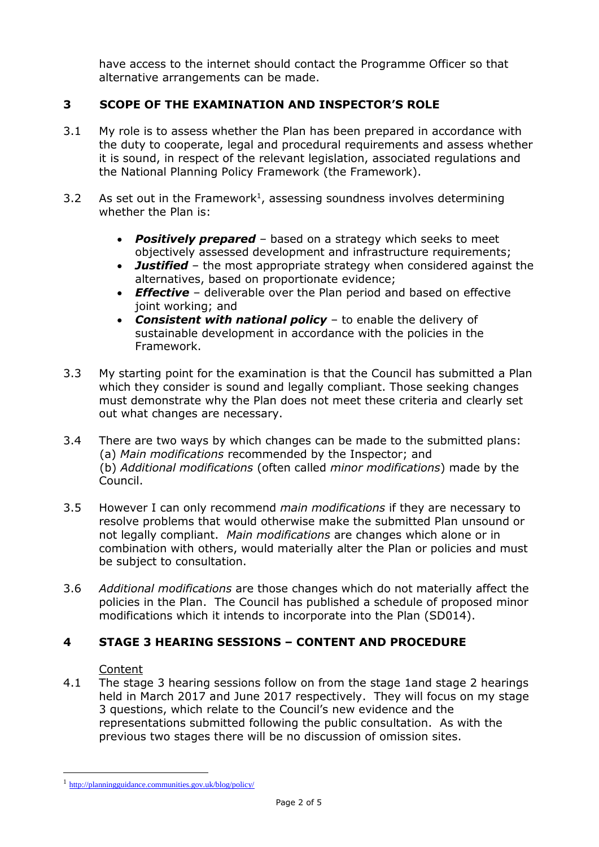have access to the internet should contact the Programme Officer so that alternative arrangements can be made.

## **3 SCOPE OF THE EXAMINATION AND INSPECTOR'S ROLE**

- 3.1 My role is to assess whether the Plan has been prepared in accordance with the duty to cooperate, legal and procedural requirements and assess whether it is sound, in respect of the relevant legislation, associated regulations and the National Planning Policy Framework (the Framework).
- 3.2 As set out in the Framework<sup>1</sup>, assessing soundness involves determining whether the Plan is:
	- *Positively prepared* based on a strategy which seeks to meet objectively assessed development and infrastructure requirements;
	- *Justified* the most appropriate strategy when considered against the alternatives, based on proportionate evidence;
	- *Effective* deliverable over the Plan period and based on effective joint working; and
	- *Consistent with national policy* to enable the delivery of sustainable development in accordance with the policies in the Framework.
- 3.3 My starting point for the examination is that the Council has submitted a Plan which they consider is sound and legally compliant. Those seeking changes must demonstrate why the Plan does not meet these criteria and clearly set out what changes are necessary.
- 3.4 There are two ways by which changes can be made to the submitted plans: (a) *Main modifications* recommended by the Inspector; and (b) *Additional modifications* (often called *minor modifications*) made by the Council.
- 3.5 However I can only recommend *main modifications* if they are necessary to resolve problems that would otherwise make the submitted Plan unsound or not legally compliant. *Main modifications* are changes which alone or in combination with others, would materially alter the Plan or policies and must be subject to consultation.
- 3.6 *Additional modifications* are those changes which do not materially affect the policies in the Plan. The Council has published a schedule of proposed minor modifications which it intends to incorporate into the Plan (SD014).

#### **4 STAGE 3 HEARING SESSIONS – CONTENT AND PROCEDURE**

#### Content

1

4.1 The stage 3 hearing sessions follow on from the stage 1and stage 2 hearings held in March 2017 and June 2017 respectively. They will focus on my stage 3 questions, which relate to the Council's new evidence and the representations submitted following the public consultation. As with the previous two stages there will be no discussion of omission sites.

<sup>1</sup> <http://planningguidance.communities.gov.uk/blog/policy/>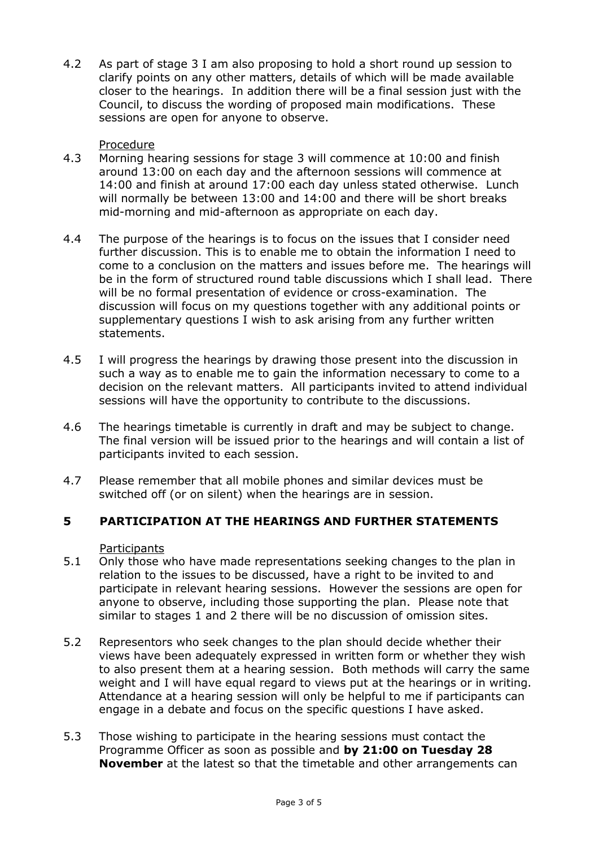4.2 As part of stage 3 I am also proposing to hold a short round up session to clarify points on any other matters, details of which will be made available closer to the hearings. In addition there will be a final session just with the Council, to discuss the wording of proposed main modifications. These sessions are open for anyone to observe.

#### Procedure

- 4.3 Morning hearing sessions for stage 3 will commence at 10:00 and finish around 13:00 on each day and the afternoon sessions will commence at 14:00 and finish at around 17:00 each day unless stated otherwise. Lunch will normally be between 13:00 and 14:00 and there will be short breaks mid-morning and mid-afternoon as appropriate on each day.
- 4.4 The purpose of the hearings is to focus on the issues that I consider need further discussion. This is to enable me to obtain the information I need to come to a conclusion on the matters and issues before me. The hearings will be in the form of structured round table discussions which I shall lead. There will be no formal presentation of evidence or cross-examination. The discussion will focus on my questions together with any additional points or supplementary questions I wish to ask arising from any further written statements.
- 4.5 I will progress the hearings by drawing those present into the discussion in such a way as to enable me to gain the information necessary to come to a decision on the relevant matters. All participants invited to attend individual sessions will have the opportunity to contribute to the discussions.
- 4.6 The hearings timetable is currently in draft and may be subject to change. The final version will be issued prior to the hearings and will contain a list of participants invited to each session.
- 4.7 Please remember that all mobile phones and similar devices must be switched off (or on silent) when the hearings are in session.

## **5 PARTICIPATION AT THE HEARINGS AND FURTHER STATEMENTS**

#### **Participants**

- 5.1 Only those who have made representations seeking changes to the plan in relation to the issues to be discussed, have a right to be invited to and participate in relevant hearing sessions. However the sessions are open for anyone to observe, including those supporting the plan. Please note that similar to stages 1 and 2 there will be no discussion of omission sites.
- 5.2 Representors who seek changes to the plan should decide whether their views have been adequately expressed in written form or whether they wish to also present them at a hearing session. Both methods will carry the same weight and I will have equal regard to views put at the hearings or in writing. Attendance at a hearing session will only be helpful to me if participants can engage in a debate and focus on the specific questions I have asked.
- 5.3 Those wishing to participate in the hearing sessions must contact the Programme Officer as soon as possible and **by 21:00 on Tuesday 28 November** at the latest so that the timetable and other arrangements can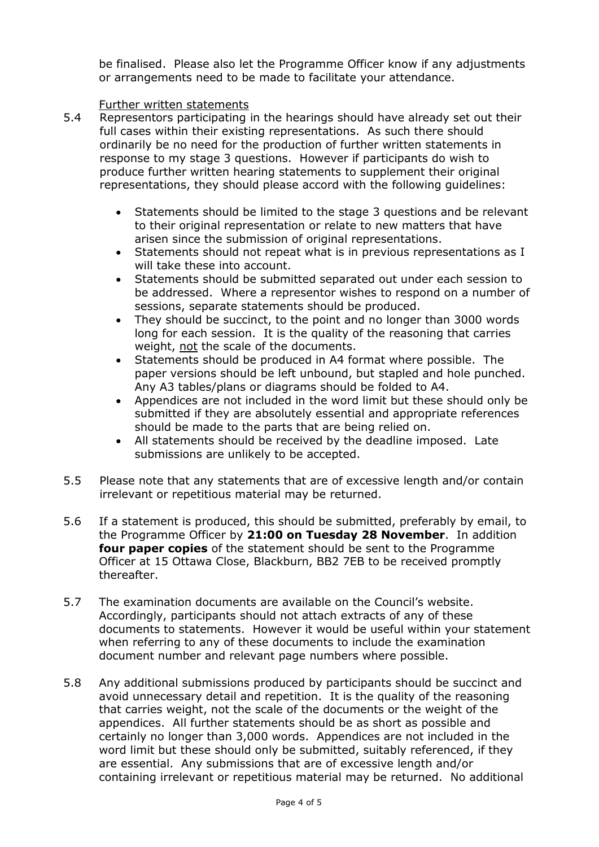be finalised. Please also let the Programme Officer know if any adjustments or arrangements need to be made to facilitate your attendance.

#### Further written statements

- 5.4 Representors participating in the hearings should have already set out their full cases within their existing representations. As such there should ordinarily be no need for the production of further written statements in response to my stage 3 questions. However if participants do wish to produce further written hearing statements to supplement their original representations, they should please accord with the following guidelines:
	- Statements should be limited to the stage 3 questions and be relevant to their original representation or relate to new matters that have arisen since the submission of original representations.
	- Statements should not repeat what is in previous representations as I will take these into account.
	- Statements should be submitted separated out under each session to be addressed. Where a representor wishes to respond on a number of sessions, separate statements should be produced.
	- They should be succinct, to the point and no longer than 3000 words long for each session. It is the quality of the reasoning that carries weight, not the scale of the documents.
	- Statements should be produced in A4 format where possible. The paper versions should be left unbound, but stapled and hole punched. Any A3 tables/plans or diagrams should be folded to A4.
	- Appendices are not included in the word limit but these should only be submitted if they are absolutely essential and appropriate references should be made to the parts that are being relied on.
	- All statements should be received by the deadline imposed. Late submissions are unlikely to be accepted.
- 5.5 Please note that any statements that are of excessive length and/or contain irrelevant or repetitious material may be returned.
- 5.6 If a statement is produced, this should be submitted, preferably by email, to the Programme Officer by **21:00 on Tuesday 28 November**. In addition **four paper copies** of the statement should be sent to the Programme Officer at 15 Ottawa Close, Blackburn, BB2 7EB to be received promptly thereafter.
- 5.7 The examination documents are available on the Council's website. Accordingly, participants should not attach extracts of any of these documents to statements. However it would be useful within your statement when referring to any of these documents to include the examination document number and relevant page numbers where possible.
- 5.8 Any additional submissions produced by participants should be succinct and avoid unnecessary detail and repetition. It is the quality of the reasoning that carries weight, not the scale of the documents or the weight of the appendices. All further statements should be as short as possible and certainly no longer than 3,000 words. Appendices are not included in the word limit but these should only be submitted, suitably referenced, if they are essential. Any submissions that are of excessive length and/or containing irrelevant or repetitious material may be returned. No additional